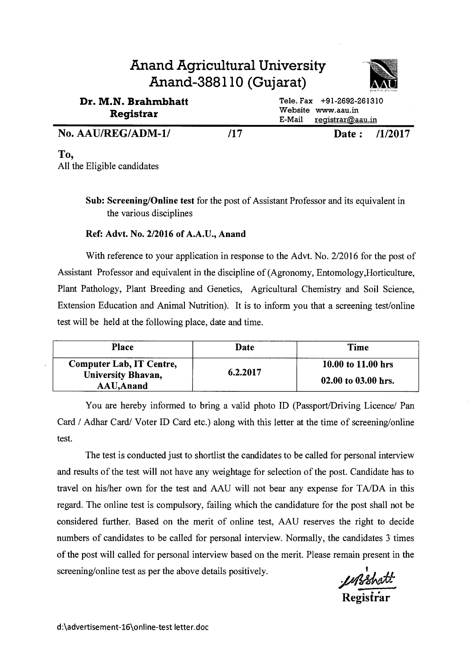#### **Anand Agricultural University Anand-388110 (Gujarat) Dr. M.N. Brahmbhatt Registrar**  Tele. Fax +91-2692-261310 Website www.aau.in

| wegiswar           |  | $E-Mail$ registrar@aau.in |               |  |
|--------------------|--|---------------------------|---------------|--|
| No. AAU/REG/ADM-1/ |  |                           | Date: /1/2017 |  |

**To,**  All the Eligible candidates

> **Sub: Screening/Online test** for the post of Assistant Professor and its equivalent in the various disciplines

#### **Ref: Advt. No. 2/2016 of A.A.U., Anand**

With reference to your application in response to the Advt. No. 2/2016 for the post of Assistant Professor and equivalent in the discipline of (Agronomy, Entomology,Horticulture, Plant Pathology, Plant Breeding and Genetics, Agricultural Chemistry and Soil Science, Extension Education and Animal Nutrition). It is to inform you that a screening test/online test will be held at the following place, date and time.

| Place                                                        | Date     | <b>Time</b>                               |
|--------------------------------------------------------------|----------|-------------------------------------------|
| Computer Lab, IT Centre,<br>University Bhavan,<br>AAU, Anand | 6.2.2017 | 10.00 to 11.00 hrs<br>02.00 to 03.00 hrs. |

You are hereby informed to bring a valid photo ID (Passport/Driving Licence/ Pan Card / Adhar Card/ Voter ID Card etc.) along with this letter at the time of screening/online test.

The test is conducted just to shortlist the candidates to be called for personal interview and results of the test will not have any weightage for selection of the post. Candidate has to travel on his/her own for the test and AAU will not bear any expense for TA/DA in this regard. The online test is compulsory, failing which the candidature for the post shall not be considered further. Based on the merit of online test, AAU reserves the right to decide numbers of candidates to be called for personal interview. Normally, the candidates 3 times of the post will called for personal interview based on the merit. Please remain present in the screening/online test as per the above details positively.

**Registrar**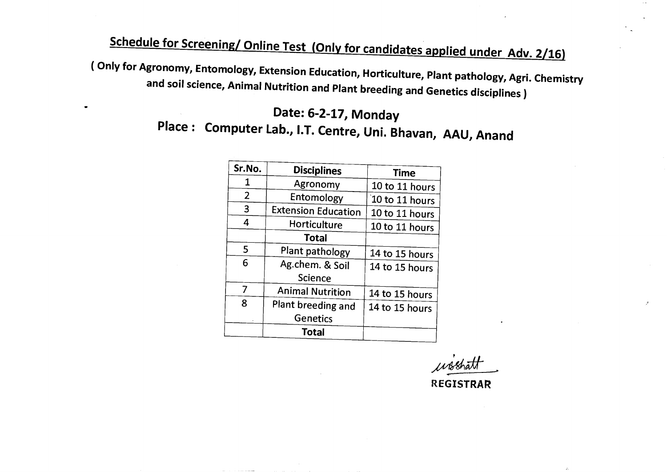# **Schedule for Screening/ Online Test (Only for candidates applied under Adv. 2/16)**

**( Only for Agronomy, Entomology, Extension Education, Horticulture, Plant pathology, Agri. Chemistry and soil science, Animal Nutrition and Plant breeding and Genetics disciplines )** 

## **Date: 6-2-17, Monday Place : Computer Lab., I.T. Centre, Uni. Bhavan, AAU, Anand**

| Sr.No.         | <b>Disciplines</b>         | <b>Time</b>    |
|----------------|----------------------------|----------------|
| 1              | Agronomy                   | 10 to 11 hours |
| $\overline{2}$ | Entomology                 | 10 to 11 hours |
| 3              | <b>Extension Education</b> | 10 to 11 hours |
| 4              | Horticulture               | 10 to 11 hours |
|                | <b>Total</b>               |                |
| 5              | Plant pathology            | 14 to 15 hours |
| 6              | Ag.chem. & Soil            | 14 to 15 hours |
|                | <b>Science</b>             |                |
| 7              | <b>Animal Nutrition</b>    | 14 to 15 hours |
| 8              | Plant breeding and         | 14 to 15 hours |
|                | <b>Genetics</b>            |                |
|                | Total                      |                |

wishatt

**REGISTRAR**